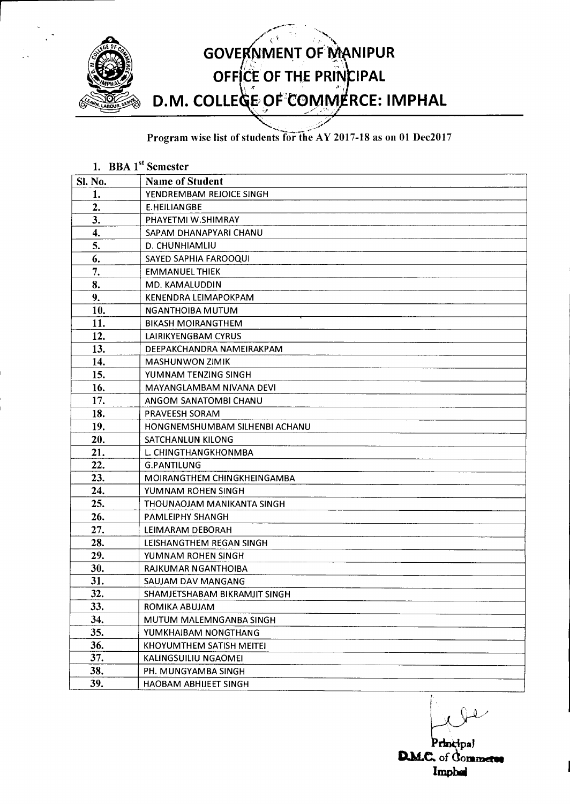

Program wise list of students for the AY 2017-18 as on 01 Dec2017

|                | 1. BBA 1 <sup>st</sup> Semester |
|----------------|---------------------------------|
| <b>Sl. No.</b> | <b>Name of Student</b>          |
| 1.             | YENDREMBAM REJOICE SINGH        |
| 2.             | E.HEILIANGBE                    |
| 3.             | PHAYETMI W.SHIMRAY              |
| 4.             | SAPAM DHANAPYARI CHANU          |
| 5.             | D. CHUNHIAMLIU                  |
| 6.             | SAYED SAPHIA FAROOQUI           |
| 7.             | <b>EMMANUEL THIEK</b>           |
| 8.             | MD. KAMALUDDIN                  |
| 9.             | KENENDRA LEIMAPOKPAM            |
| 10.            | NGANTHOIBA MUTUM                |
| 11.            | <b>BIKASH MOIRANGTHEM</b>       |
| 12.            | LAIRIKYENGBAM CYRUS             |
| 13.            | DEEPAKCHANDRA NAMEIRAKPAM       |
| 14.            | <b>MASHUNWON ZIMIK</b>          |
| 15.            | YUMNAM TENZING SINGH            |
| 16.            | MAYANGLAMBAM NIVANA DEVI        |
| 17.            | ANGOM SANATOMBI CHANU           |
| 18.            | PRAVEESH SORAM                  |
| 19.            | HONGNEMSHUMBAM SILHENBI ACHANU  |
| 20.            | SATCHANLUN KILONG               |
| 21.            | L. CHINGTHANGKHONMBA            |
| 22.            | <b>G.PANTILUNG</b>              |
| 23.            | MOIRANGTHEM CHINGKHEINGAMBA     |
| 24.            | YUMNAM ROHEN SINGH              |
| 25.            | THOUNAOJAM MANIKANTA SINGH      |
| 26.            | <b>PAMLEIPHY SHANGH</b>         |
| 27.            | LEIMARAM DEBORAH                |
| 28.            | LEISHANGTHEM REGAN SINGH        |
| 29.            | YUMNAM ROHEN SINGH              |
| 30.            | RAJKUMAR NGANTHOIBA             |
| 31.            | SAUJAM DAV MANGANG              |
| 32.            | SHAMJETSHABAM BIKRAMJIT SINGH   |
| 33.            | ROMIKA ABUJAM                   |
| 34.            | MUTUM MALEMNGANBA SINGH         |
| 35.            | YUMKHAIBAM NONGTHANG            |
| 36.            | KHOYUMTHEM SATISH MEITEI        |
| 37.            | KALINGSUILIU NGAOMEI            |
| 38.            | PH. MUNGYAMBA SINGH             |
| 39.            | <b>HAOBAM ABHIJEET SINGH</b>    |

Principal **D.M.C.** of **dommerse Imp**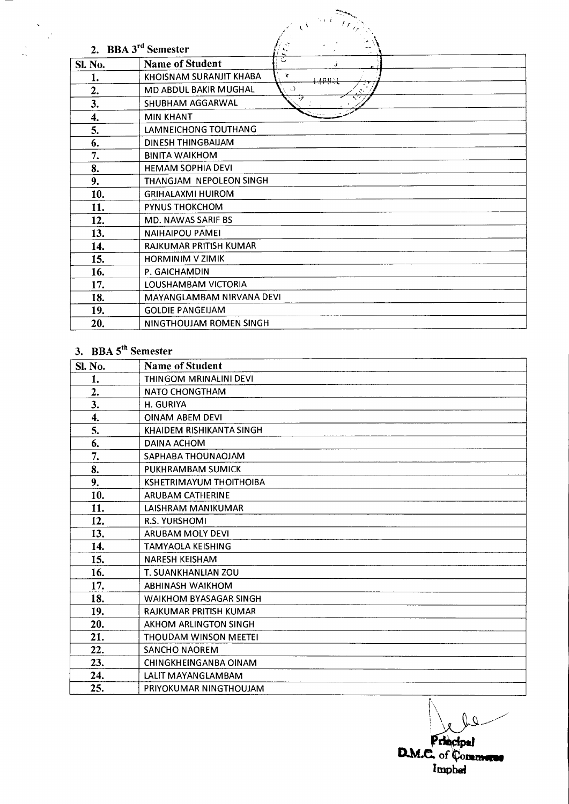|                                            | $\epsilon^{\lambda}$                    |  |  |
|--------------------------------------------|-----------------------------------------|--|--|
| $\zeta$<br>2. BBA 3 <sup>rd</sup> Semester |                                         |  |  |
| <b>Sl. No.</b>                             | ੁ<br><b>Name of Student</b>             |  |  |
|                                            | KHOISNAM SURANJIT KHABA<br>$\mathbf{r}$ |  |  |
| 1.                                         | بنهبهم                                  |  |  |
| 2.                                         | MD ABDUL BAKIR MUGHAL<br>ು<br>۰1        |  |  |
| 3.                                         | SHUBHAM AGGARWAL                        |  |  |
| 4.                                         | <b>MIN KHANT</b>                        |  |  |
| 5.                                         | LAMNEICHONG TOUTHANG                    |  |  |
| 6.                                         | DINESH THINGBAIJAM                      |  |  |
| 7.                                         | <b>BINITA WAIKHOM</b>                   |  |  |
| 8.                                         | <b>HEMAM SOPHIA DEVI</b>                |  |  |
| 9.                                         | THANGJAM NEPOLEON SINGH                 |  |  |
| 10.                                        | <b>GRIHALAXMI HUIROM</b>                |  |  |
| 11.                                        | <b>PYNUS THOKCHOM</b>                   |  |  |
| 12.                                        | <b>MD. NAWAS SARIF BS</b>               |  |  |
| 13.                                        | <b>NAIHAIPOU PAMEI</b>                  |  |  |
| 14.                                        | RAJKUMAR PRITISH KUMAR                  |  |  |
| 15.                                        | <b>HORMINIM V ZIMIK</b>                 |  |  |
| 16.                                        | P. GAICHAMDIN                           |  |  |
| 17.                                        | LOUSHAMBAM VICTORIA                     |  |  |
| 18.                                        | MAYANGLAMBAM NIRVANA DEVI               |  |  |
| 19.                                        | <b>GOLDIE PANGEIJAM</b>                 |  |  |
| 20.                                        | NINGTHOUJAM ROMEN SINGH                 |  |  |

## 3. BBA 5<sup>th</sup> Semester

| <b>SI. No.</b> | <b>Name of Student</b>         |
|----------------|--------------------------------|
| 1.             | THINGOM MRINALINI DEVI         |
| 2.             | <b>NATO CHONGTHAM</b>          |
| 3.             | H. GURIYA                      |
| 4.             | <b>OINAM ABEM DEVI</b>         |
| 5.             | KHAIDEM RISHIKANTA SINGH       |
| 6.             | DAINA ACHOM                    |
| 7.             | SAPHABA THOUNAOJAM             |
| 8.             | PUKHRAMBAM SUMICK              |
| 9.             | <b>KSHETRIMAYUM THOITHOIBA</b> |
| 10.            | <b>ARUBAM CATHERINE</b>        |
| 11.            | LAISHRAM MANIKUMAR             |
| 12.            | <b>R.S. YURSHOMI</b>           |
| 13.            | ARUBAM MOLY DEVI               |
| 14.            | <b>TAMYAOLA KEISHING</b>       |
| 15.            | <b>NARESH KEISHAM</b>          |
| 16.            | T. SUANKHANLIAN ZOU            |
| 17.            | ABHINASH WAIKHOM               |
| 18.            | <b>WAIKHOM BYASAGAR SINGH</b>  |
| 19.            | RAJKUMAR PRITISH KUMAR         |
| 20.            | AKHOM ARLINGTON SINGH          |
| 21.            | <b>THOUDAM WINSON MEETEI</b>   |
| 22.            | <b>SANCHO NAOREM</b>           |
| 23.            | <b>CHINGKHEINGANBA OINAM</b>   |
| 24.            | LALIT MAYANGLAMBAM             |
| 25.            | PRIYOKUMAR NINGTHOUJAM         |

Ų.  $\overline{\varrho}$ Principal<br>D.M.C. of Commune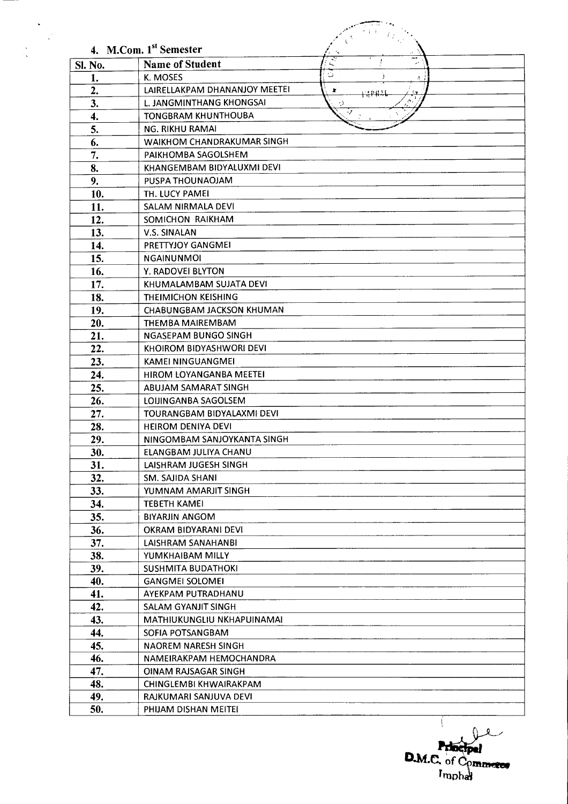|         | 4. M.Com. 1 <sup>st</sup> Semester                 |
|---------|----------------------------------------------------|
| Sl. No. | $\overline{\mathcal{Z}}$<br><b>Name of Student</b> |
| 1.      | ن<br>K. MOSES<br>A.                                |
| 2.      | LAIRELLAKPAM DHANANJOY MEETEI<br>×<br>규모류가         |
| 3.      | L. JANGMINTHANG KHONGSAI<br>ر،                     |
| 4.      | <b>TONGBRAM KHUNTHOUBA</b>                         |
| 5.      | <b>NG. RIKHU RAMAI</b>                             |
| 6.      | WAIKHOM CHANDRAKUMAR SINGH                         |
| 7.      | PAIKHOMBA SAGOLSHEM                                |
| 8.      | KHANGEMBAM BIDYALUXMI DEVI                         |
| 9.      | PUSPA THOUNAOJAM                                   |
| 10.     | TH. LUCY PAMEI                                     |
| 11.     | SALAM NIRMALA DEVI                                 |
| 12.     | SOMICHON RAIKHAM                                   |
| 13.     | <b>V.S. SINALAN</b>                                |
| 14.     | PRETTYJOY GANGMEI                                  |
| 15.     | <b>NGAINUNMOI</b>                                  |
| 16.     | Y. RADOVEI BLYTON                                  |
| 17.     | KHUMALAMBAM SUJATA DEVI                            |
| 18.     | <b>THEIMICHON KEISHING</b>                         |
| 19.     | CHABUNGBAM JACKSON KHUMAN                          |
| 20.     | THEMBA MAIREMBAM                                   |
| 21.     | <b>NGASEPAM BUNGO SINGH</b>                        |
| 22.     | KHOIROM BIDYASHWORI DEVI                           |
| 23.     | <b>KAMEI NINGUANGMEI</b>                           |
| 24.     | HIROM LOYANGANBA MEETEI                            |
| 25.     | ABUJAM SAMARAT SINGH                               |
| 26.     | LOIJINGANBA SAGOLSEM                               |
| 27.     | TOURANGBAM BIDYALAXMI DEVI                         |
| 28.     | <b>HEIROM DENIYA DEVI</b>                          |
| 29.     | NINGOMBAM SANJOYKANTA SINGH                        |
| 30.     | ELANGBAM JULIYA CHANU                              |
| 31.     | LAISHRAM JUGESH SINGH                              |
| 32.     | SM. SAJIDA SHANI                                   |
| 33.     | YUMNAM AMARJIT SINGH                               |
| 34.     | <b>TEBETH KAMEI</b>                                |
| 35.     | <b>BIYARJIN ANGOM</b>                              |
| 36.     | OKRAM BIDYARANI DEVI                               |
| 37.     | LAISHRAM SANAHANBI                                 |
| 38.     | YUMKHAIBAM MILLY                                   |
| 39.     | <b>SUSHMITA BUDATHOKI</b>                          |
| 40.     | <b>GANGMEI SOLOMEI</b>                             |
| 41.     | AYEKPAM PUTRADHANU                                 |
| 42.     | SALAM GYANJIT SINGH                                |
| 43.     | MATHIUKUNGLIU NKHAPUINAMAI                         |
| 44.     | SOFIA POTSANGBAM                                   |
| 45.     | <b>NAOREM NARESH SINGH</b>                         |
| 46.     | NAMEIRAKPAM HEMOCHANDRA                            |
| 47.     | <b>OINAM RAJSAGAR SINGH</b>                        |
| 48.     | CHINGLEMBI KHWAIRAKPAM                             |
| 49.     | RAJKUMARI SANJUVA DEVI                             |
| 50.     | PHIJAM DISHAN MEITEI                               |

 $\ddot{\phantom{0}}$ 

 $\frac{1}{2}$ 

 $\frac{1}{2}$ 

D.M.C. of Commerce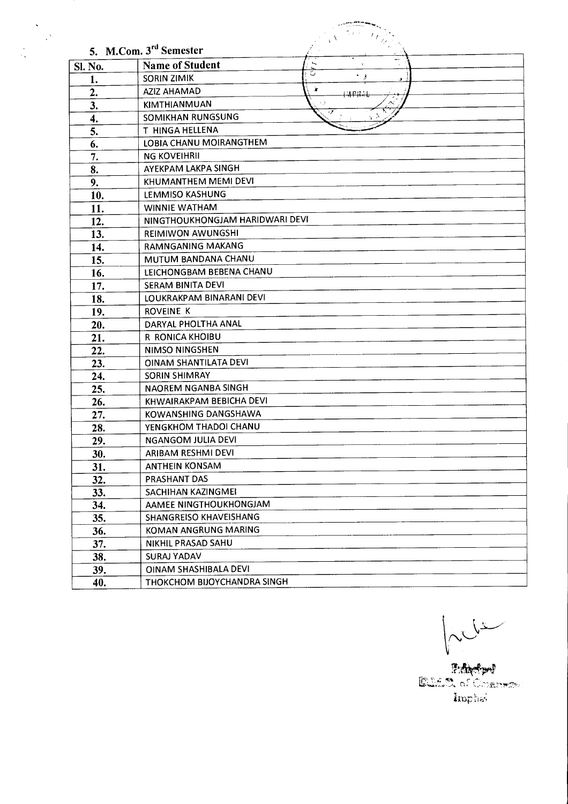|                | 5. M.Com. 3 <sup>rd</sup> Semester |  |  |
|----------------|------------------------------------|--|--|
| <b>Sl. No.</b> | <br><b>Name of Student</b>         |  |  |
| 1.             | <b>SORIN ZIMIK</b>                 |  |  |
| 2.             | Ä.<br>AZIZ AHAMAD<br><u>Wali</u>   |  |  |
| 3.             | KIMTHIANMUAN                       |  |  |
| 4.             | SOMIKHAN RUNGSUNG                  |  |  |
| 5.             | T HINGA HELLENA                    |  |  |
| 6.             | LOBIA CHANU MOIRANGTHEM            |  |  |
| 7.             | <b>NG KOVEIHRII</b>                |  |  |
| 8.             | AYEKPAM LAKPA SINGH                |  |  |
| 9.             | KHUMANTHEM MEMI DEVI               |  |  |
| 10.            | LEMMISO KASHUNG                    |  |  |
| 11.            | <b>WINNIE WATHAM</b>               |  |  |
| 12.            | NINGTHOUKHONGJAM HARIDWARI DEVI    |  |  |
| 13.            | REIMIWON AWUNGSHI                  |  |  |
| 14.            | <b>RAMNGANING MAKANG</b>           |  |  |
| 15.            | MUTUM BANDANA CHANU                |  |  |
| 16.            | LEICHONGBAM BEBENA CHANU           |  |  |
| 17.            | SERAM BINITA DEVI                  |  |  |
| 18.            | LOUKRAKPAM BINARANI DEVI           |  |  |
| 19.            | <b>ROVEINE K</b>                   |  |  |
| 20.            | DARYAL PHOLTHA ANAL                |  |  |
| 21.            | R RONICA KHOIBU                    |  |  |
| 22.            | <b>NIMSO NINGSHEN</b>              |  |  |
| 23.            | OINAM SHANTILATA DEVI              |  |  |
| 24.            | <b>SORIN SHIMRAY</b>               |  |  |
| 25.            | NAOREM NGANBA SINGH                |  |  |
| 26.            | KHWAIRAKPAM BEBICHA DEVI           |  |  |
| 27.            | <b>KOWANSHING DANGSHAWA</b>        |  |  |
| 28.            | YENGKHOM THADOI CHANU              |  |  |
| 29.            | <b>NGANGOM JULIA DEVI</b>          |  |  |
| 30.            | ARIBAM RESHMI DEVI                 |  |  |
| 31.            | <b>ANTHEIN KONSAM</b>              |  |  |
| 32.            | PRASHANT DAS                       |  |  |
| 33.            | SACHIHAN KAZINGMEI                 |  |  |
| 34.            | AAMEE NINGTHOUKHONGJAM             |  |  |
| 35.            | SHANGREISO KHAVEISHANG             |  |  |
| 36.            | KOMAN ANGRUNG MARING               |  |  |
| 37.            | NIKHIL PRASAD SAHU                 |  |  |
| 38.            | <b>SURAJ YADAV</b>                 |  |  |
| 39.            | OINAM SHASHIBALA DEVI              |  |  |
| 40.            | THOKCHOM BIJOYCHANDRA SINGH        |  |  |

 $\ddot{\phantom{0}}$  $\frac{1}{2} \sum_{i=1}^{N} \frac{1}{i}$ 

 $\frac{1}{2}$ 

MULLE

Edicion<br>Edicion of Commercial Imphat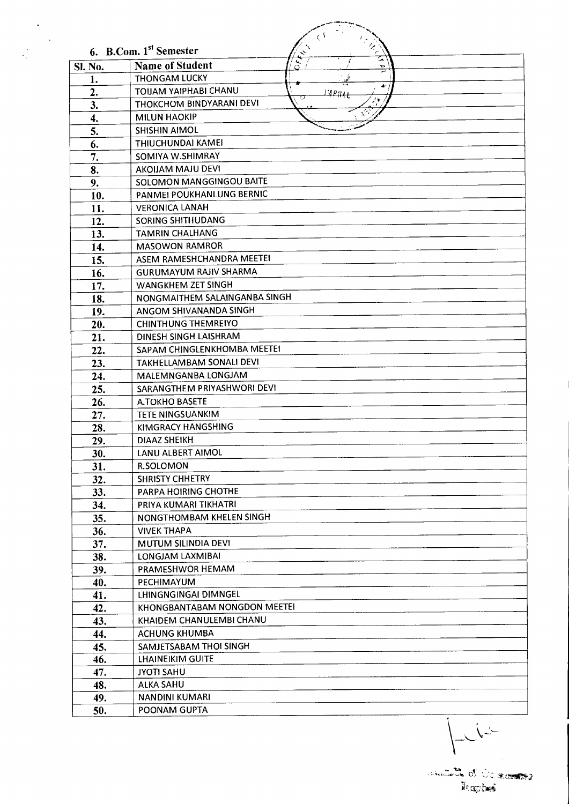|                | $\frac{Z}{\gamma}$<br>6. B.Com. 1 <sup>st</sup> Semester        |
|----------------|-----------------------------------------------------------------|
| <b>Sl. No.</b> | $\ddot{\bm{\epsilon}}$<br>⋝<br><b>Name of Student</b><br>Ő<br>Ť |
| 1.             | <b>THONGAM LUCKY</b>                                            |
| 2.             | ÷<br>TOUAM YAIPHABI CHANU<br>L'APHAI                            |
| 3.             | ∕ ≱.<br>THOKCHOM BINDYARANI DEVI                                |
| 4.             | <b>MILUN HAOKIP</b>                                             |
| 5.             | <b>SHISHIN AIMOL</b>                                            |
| 6.             | THIUCHUNDAI KAMEI                                               |
| 7.             | SOMIYA W.SHIMRAY                                                |
| 8.             | AKOIJAM MAJU DEVI                                               |
| 9.             | SOLOMON MANGGINGOU BAITE                                        |
| 10.            | PANMEI POUKHANLUNG BERNIC                                       |
| 11.            | <b>VERONICA LANAH</b>                                           |
| 12.            | <b>SORING SHITHUDANG</b>                                        |
| 13.            | <b>TAMRIN CHALHANG</b>                                          |
| 14.            | <b>MASOWON RAMROR</b>                                           |
| 15.            | ASEM RAMESHCHANDRA MEETEI                                       |
| 16.            | <b>GURUMAYUM RAJIV SHARMA</b>                                   |
| 17.            | WANGKHEM ZET SINGH                                              |
| 18.            | NONGMAITHEM SALAINGANBA SINGH                                   |
| 19.            | ANGOM SHIVANANDA SINGH                                          |
| 20.            | <b>CHINTHUNG THEMREIYO</b>                                      |
|                | DINESH SINGH LAISHRAM                                           |
| 21.<br>22.     | SAPAM CHINGLENKHOMBA MEETEI                                     |
|                | TAKHELLAMBAM SONALI DEVI                                        |
| 23.            | MALEMNGANBA LONGJAM                                             |
| 24.            | SARANGTHEM PRIYASHWORI DEVI                                     |
| 25.<br>26.     | <b>A.TOKHO BASETE</b>                                           |
| 27.            | <b>TETE NINGSUANKIM</b>                                         |
| 28.            | <b>KIMGRACY HANGSHING</b>                                       |
| 29.            | DIAAZ SHEIKH                                                    |
| 30.            | LANU ALBERT AIMOL                                               |
| 31.            | <b>R.SOLOMON</b>                                                |
| 32.            | <b>SHRISTY CHHETRY</b>                                          |
| 33.            | <b>PARPA HOIRING CHOTHE</b>                                     |
| 34.            | PRIYA KUMARI TIKHATRI                                           |
| 35.            | NONGTHOMBAM KHELEN SINGH                                        |
| 36.            | <b>VIVEK THAPA</b>                                              |
| 37.            | <b>MUTUM SILINDIA DEVI</b>                                      |
| 38.            | LONGJAM LAXMIBAI                                                |
| 39.            | PRAMESHWOR HEMAM                                                |
| 40.            | PECHIMAYUM                                                      |
| 41.            | LHINGNGINGAI DIMNGEL                                            |
| 42.            | KHONGBANTABAM NONGDON MEETEI                                    |
| 43.            | KHAIDEM CHANULEMBI CHANU                                        |
| 44.            | <b>ACHUNG KHUMBA</b>                                            |
| 45.            | SAMJETSABAM THOI SINGH                                          |
| 46.            | <b>LHAINEIKIM GUITE</b>                                         |
| 47.            | <b>JYOTI SAHU</b>                                               |
| 48.            | <b>ALKA SAHU</b>                                                |
| 49.            | <b>NANDINI KUMARI</b>                                           |
| 50.            | POONAM GUPTA                                                    |

 $\hat{\mathcal{A}}$ 

 $\overline{L}$ 

analistik oli Ocalam<del>ine</del><br>Raphes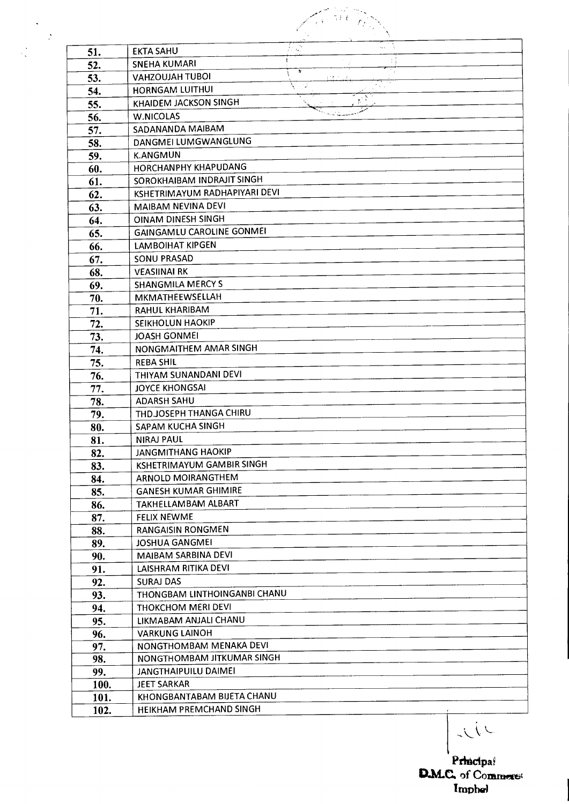| 51.        | ∄ris)<br><b>EKTA SAHU</b>                      |    |  |
|------------|------------------------------------------------|----|--|
| 52.        | <b>SNEHA KUMARI</b>                            | ħ. |  |
| 53.        | <b>VAHZOUJAH TUBOI</b>                         |    |  |
| 54.        | <b>HORNGAM LUITHUI</b>                         |    |  |
| 55.        | KHAIDEM JACKSON SINGH                          |    |  |
| 56.        | <b>W.NICOLAS</b>                               |    |  |
| 57.        | SADANANDA MAIBAM                               |    |  |
| 58.        | DANGMEI LUMGWANGLUNG                           |    |  |
| 59.        | <b>K.ANGMUN</b>                                |    |  |
| 60.        | HORCHANPHY KHAPUDANG                           |    |  |
| 61.        | SOROKHAIBAM INDRAJIT SINGH                     |    |  |
| 62.        | KSHETRIMAYUM RADHAPIYARI DEVI                  |    |  |
| 63.        | MAIBAM NEVINA DEVI                             |    |  |
| 64.        | OINAM DINESH SINGH                             |    |  |
| 65.        | <b>GAINGAMLU CAROLINE GONMEI</b>               |    |  |
| 66.        | <b>LAMBOIHAT KIPGEN</b>                        |    |  |
| 67.        | <b>SONU PRASAD</b>                             |    |  |
| 68.        | <b>VEASIINAI RK</b>                            |    |  |
| 69.        | <b>SHANGMILA MERCY S</b>                       |    |  |
| 70.        | MKMATHEEWSELLAH                                |    |  |
| 71.        | <b>RAHUL KHARIBAM</b>                          |    |  |
| 72.        | <b>SEIKHOLUN HAOKIP</b>                        |    |  |
| 73.        | <b>JOASH GONMEI</b>                            |    |  |
| 74.        | NONGMAITHEM AMAR SINGH                         |    |  |
| 75.        | <b>REBA SHIL</b>                               |    |  |
| 76.        | THIYAM SUNANDANI DEVI                          |    |  |
| 77.        | JOYCE KHONGSAI                                 |    |  |
| 78.        | <b>ADARSH SAHU</b>                             |    |  |
| 79.        | THD.JOSEPH THANGA CHIRU<br>SAPAM KUCHA SINGH   |    |  |
| 80.        |                                                |    |  |
| 81.        | <b>NIRAJ PAUL</b><br><b>JANGMITHANG HAOKIP</b> |    |  |
| 82.        | KSHETRIMAYUM GAMBIR SINGH                      |    |  |
| 83.<br>84. | ARNOLD MOIRANGTHEM                             |    |  |
| 85.        | <b>GANESH KUMAR GHIMIRE</b>                    |    |  |
| 86.        | TAKHELLAMBAM ALBART                            |    |  |
| 87.        | <b>FELIX NEWME</b>                             |    |  |
| 88.        | <b>RANGAISIN RONGMEN</b>                       |    |  |
| 89.        | JOSHUA GANGMEI                                 |    |  |
| 90.        | MAIBAM SARBINA DEVI                            |    |  |
| 91.        | LAISHRAM RITIKA DEVI                           |    |  |
| 92.        | <b>SURAJ DAS</b>                               |    |  |
| 93.        | THONGBAM LINTHOINGANBI CHANU                   |    |  |
| 94.        | THOKCHOM MERI DEVI                             |    |  |
| 95.        | LIKMABAM ANJALI CHANU                          |    |  |
| 96.        | <b>VARKUNG LAINOH</b>                          |    |  |
| 97.        | NONGTHOMBAM MENAKA DEVI                        |    |  |
| 98.        | NONGTHOMBAM JITKUMAR SINGH                     |    |  |
| 99.        | JANGTHAIPUILU DAIMEI                           |    |  |
| 100.       | JEET SARKAR                                    |    |  |
| 101.       | KHONGBANTABAM BIJETA CHANU                     |    |  |
| 102.       | HEIKHAM PREMCHAND SINGH                        |    |  |

Principal<br>D.M.C. of Commerci Imphel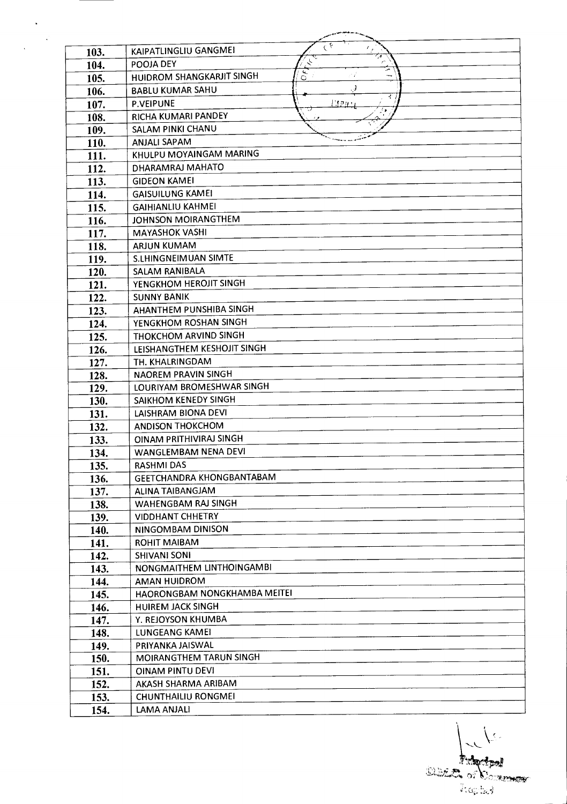| 103. | $C_{\mathbf{\vec{k}}}$<br>KAIPATLINGLIU GANGMEI |
|------|-------------------------------------------------|
| 104. | $\zeta$<br>POOJA DEY                            |
| 105. | ч.<br>HUIDROM SHANGKARJIT SINGH<br>$\circ$      |
| 106. | <b>BABLU KUMAR SAHU</b><br>. 3                  |
| 107. | 才<br><b>P.VEIPUNE</b><br>Глан                   |
| 108. | RICHA KUMARI PANDEY                             |
| 109. | SALAM PINKI CHANU                               |
| 110. | <b>ANJALI SAPAM</b>                             |
| 111. | KHULPU MOYAINGAM MARING                         |
| 112. | DHARAMRAJ MAHATO                                |
| 113. | <b>GIDEON KAMEI</b>                             |
| 114. | <b>GAISUILUNG KAMEI</b>                         |
| 115. | <b>GAIHIANLIU KAHMEI</b>                        |
| 116. | JOHNSON MOIRANGTHEM                             |
| 117. | <b>MAYASHOK VASHI</b>                           |
| 118. | ARJUN KUMAM                                     |
| 119. | <b>S.LHINGNEIMUAN SIMTE</b>                     |
| 120. | SALAM RANIBALA                                  |
| 121. | YENGKHOM HEROJIT SINGH                          |
| 122. | <b>SUNNY BANIK</b>                              |
| 123. | AHANTHEM PUNSHIBA SINGH                         |
| 124. | YENGKHOM ROSHAN SINGH                           |
| 125. | THOKCHOM ARVIND SINGH                           |
| 126. | LEISHANGTHEM KESHOJIT SINGH                     |
| 127. | TH. KHALRINGDAM                                 |
| 128. | NAOREM PRAVIN SINGH                             |
| 129. | LOURIYAM BROMESHWAR SINGH                       |
| 130. | SAIKHOM KENEDY SINGH                            |
| 131. | <b>LAISHRAM BIONA DEVI</b>                      |
| 132. | ANDISON THOKCHOM                                |
| 133. | OINAM PRITHIVIRAJ SINGH                         |
| 134. | WANGLEMBAM NENA DEVI                            |
| 135. | <b>RASHMI DAS</b>                               |
| 136. | GEETCHANDRA KHONGBANTABAM                       |
| 137. | ALINA TAIBANGJAM                                |
| 138. | WAHENGBAM RAJ SINGH                             |
| 139. | <b>VIDDHANT CHHETRY</b>                         |
| 140. | NINGOMBAM DINISON                               |
| 141. | <b>ROHIT MAIBAM</b>                             |
| 142. | <b>SHIVANI SONI</b>                             |
| 143. | NONGMAITHEM LINTHOINGAMBI                       |
| 144. | <b>AMAN HUIDROM</b>                             |
| 145. | HAORONGBAM NONGKHAMBA MEITEI                    |
| 146. | <b>HUIREM JACK SINGH</b>                        |
| 147. | Y. REJOYSON KHUMBA                              |
| 148. | LUNGEANG KAMEI                                  |
| 149. | PRIYANKA JAISWAL                                |
| 150. | MOIRANGTHEM TARUN SINGH                         |
| 151. | <b>OINAM PINTU DEVI</b>                         |
| 152. | AKASH SHARMA ARIBAM                             |
| 153. | <b>CHUNTHAILIU RONGMEI</b>                      |
| 154. | LAMA ANJALI                                     |

 $\mathcal{L}$ 

 $\sqrt{2}$ **Elizabetpal**<br>Elizabeth of Company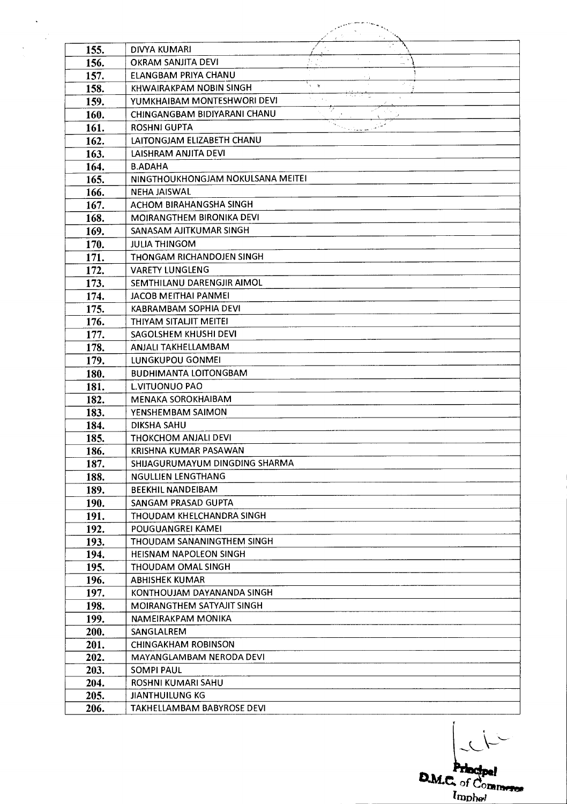| 155.         | <b>DIVYA KUMARI</b>                                         |  |
|--------------|-------------------------------------------------------------|--|
| 156.         | OKRAM SANJITA DEVI                                          |  |
| 157.         | ELANGBAM PRIYA CHANU                                        |  |
| 158.         | $\mathbf{y}$<br>KHWAIRAKPAM NOBIN SINGH                     |  |
| 159.         | YUMKHAIBAM MONTESHWORI DEVI                                 |  |
| 160.         | CHINGANGBAM BIDIYARANI CHANU                                |  |
| 161.         | <b>ROSHNI GUPTA</b>                                         |  |
| 162.         | LAITONGJAM ELIZABETH CHANU                                  |  |
| 163.         | LAISHRAM ANJITA DEVI                                        |  |
| 164.         | <b>B.ADAHA</b>                                              |  |
| 165.         | NINGTHOUKHONGJAM NOKULSANA MEITEI                           |  |
| 166.         | <b>NEHA JAISWAL</b>                                         |  |
| 167.         | ACHOM BIRAHANGSHA SINGH                                     |  |
| 168.         | MOIRANGTHEM BIRONIKA DEVI                                   |  |
| 169.         | SANASAM AJITKUMAR SINGH                                     |  |
| 170.         | <b>JULIA THINGOM</b>                                        |  |
| 171.         | THONGAM RICHANDOJEN SINGH                                   |  |
| 172.         | <b>VARETY LUNGLENG</b>                                      |  |
| 173.         | SEMTHILANU DARENGJIR AIMOL                                  |  |
| 174.         | <b>JACOB MEITHAI PANMEI</b>                                 |  |
| 175.         | KABRAMBAM SOPHIA DEVI                                       |  |
| 176.         | THIYAM SITALJIT MEITEI                                      |  |
| 177.         | SAGOLSHEM KHUSHI DEVI                                       |  |
| 178.         | ANJALI TAKHELLAMBAM                                         |  |
| 179.         | LUNGKUPOU GONMEI                                            |  |
| 180.         | <b>BUDHIMANTA LOITONGBAM</b>                                |  |
| 181.         | <b>L.VITUONUO PAO</b>                                       |  |
| 182.         | MENAKA SOROKHAIBAM                                          |  |
| 183.         | YENSHEMBAM SAIMON                                           |  |
| 184.         | <b>DIKSHA SAHU</b>                                          |  |
| 185.         | THOKCHOM ANJALI DEVI                                        |  |
| 186.         | KRISHNA KUMAR PASAWAN                                       |  |
| 187.         | SHIJAGURUMAYUM DINGDING SHARMA<br><b>NGULLIEN LENGTHANG</b> |  |
| 188.         |                                                             |  |
| 189.         | <b>BEEKHIL NANDEIBAM</b><br>SANGAM PRASAD GUPTA             |  |
| 190.         | THOUDAM KHELCHANDRA SINGH                                   |  |
| 191.         | POUGUANGREI KAMEI                                           |  |
| 192.         | THOUDAM SANANINGTHEM SINGH                                  |  |
| 193.<br>194. | <b>HEISNAM NAPOLEON SINGH</b>                               |  |
| 195.         |                                                             |  |
| 196.         | THOUDAM OMAL SINGH                                          |  |
| 197.         | <b>ABHISHEK KUMAR</b><br>KONTHOUJAM DAYANANDA SINGH         |  |
| 198.         | MOIRANGTHEM SATYAJIT SINGH                                  |  |
| 199.         | NAMEIRAKPAM MONIKA                                          |  |
| 200.         | SANGLALREM                                                  |  |
| 201.         | <b>CHINGAKHAM ROBINSON</b>                                  |  |
| 202.         | MAYANGLAMBAM NERODA DEVI                                    |  |
| 203.         | <b>SOMPI PAUL</b>                                           |  |
| 204.         | ROSHNI KUMARI SAHU                                          |  |
| 205.         | <b>JIANTHUILUNG KG</b>                                      |  |
| 206.         | TAKHELLAMBAM BABYROSE DEVI                                  |  |

 $\hat{\mathbf{v}}$ 

 $\frac{1}{2}$ 

 $\sim 2$ 

**D.M.C.** of **Commerce** *invh44,1*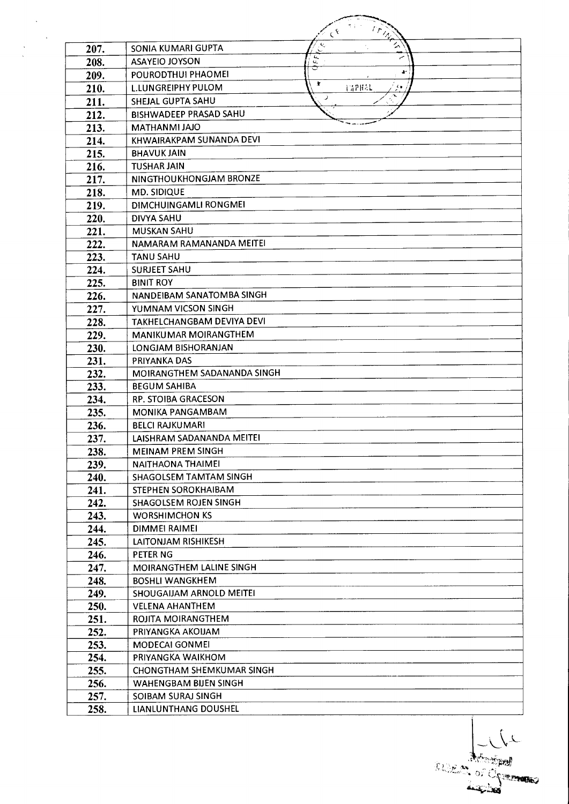|              | $r_{\frac{\lambda_{\lambda}}{2}}$<br>$\mathfrak{c}^{\mathfrak{k}}$ |
|--------------|--------------------------------------------------------------------|
| 207.         | $\tilde{\mathbf{z}}$<br>Ń,<br>SONIA KUMARI GUPTA<br>Ń              |
| 208.         | ц,<br><b>ASAYEIO JOYSON</b><br>u,                                  |
| 209.         | Ł.<br>POURODTHUI PHAOMEI                                           |
| 210.         | 案<br><b>L.LUNGREIPHY PULOM</b><br><b>FAPHAL</b>                    |
| 211.         | $\tilde{\phantom{a}}$<br>⊃<br>SHEJAL GUPTA SAHU                    |
| 212.         | <b>BISHWADEEP PRASAD SAHU</b>                                      |
| 213.         | MATHANMI JAJO                                                      |
| 214.         | KHWAIRAKPAM SUNANDA DEVI                                           |
| 215.         | <b>BHAVUK JAIN</b>                                                 |
| 216.         | <b>TUSHAR JAIN</b>                                                 |
| 217.         | NINGTHOUKHONGJAM BRONZE                                            |
| 218.         | MD. SIDIQUE                                                        |
| 219.         | DIMCHUINGAMLI RONGMEI                                              |
| 220.         | <b>DIVYA SAHU</b>                                                  |
| 221.         | <b>MUSKAN SAHU</b>                                                 |
| 222.         | NAMARAM RAMANANDA MEITEI                                           |
| 223.         | <b>TANU SAHU</b>                                                   |
| 224.         | SURJEET SAHU                                                       |
| 225.         | <b>BINIT ROY</b>                                                   |
| 226.         | NANDEIBAM SANATOMBA SINGH                                          |
| 227.         | YUMNAM VICSON SINGH                                                |
| 228.         | <b>TAKHELCHANGBAM DEVIYA DEVI</b>                                  |
| 229.         | <b>MANIKUMAR MOIRANGTHEM</b>                                       |
| 230.         | LONGJAM BISHORANJAN                                                |
| 231.         | PRIYANKA DAS                                                       |
| 232.         | MOIRANGTHEM SADANANDA SINGH                                        |
| 233.         | <b>BEGUM SAHIBA</b>                                                |
| 234.         | RP. STOIBA GRACESON                                                |
| 235.         | <b>MONIKA PANGAMBAM</b>                                            |
| 236.         | <b>BELCI RAJKUMARI</b>                                             |
| 237.         | LAISHRAM SADANANDA MEITEI                                          |
| 238.         | <b>MEINAM PREM SINGH</b>                                           |
| 239.         | NAITHAONA THAIMEI                                                  |
| 240.         | SHAGOLSEM TAMTAM SINGH                                             |
| 241.         | STEPHEN SOROKHAIBAM                                                |
| 242.         | SHAGOLSEM ROJEN SINGH                                              |
| 243.         | <b>WORSHIMCHON KS</b><br><b>DIMMEI RAIMEI</b>                      |
| 244.         | LAITONJAM RISHIKESH                                                |
| 245.<br>246. | PETER NG                                                           |
| 247.         | MOIRANGTHEM LALINE SINGH                                           |
| 248.         | <b>BOSHLI WANGKHEM</b>                                             |
| 249.         | SHOUGAIJAM ARNOLD MEITEI                                           |
| 250.         | <b>VELENA AHANTHEM</b>                                             |
| 251.         | ROJITA MOIRANGTHEM                                                 |
| 252.         | PRIYANGKA AKOIJAM                                                  |
| 253.         | MODECAI GONMEI                                                     |
| 254.         | PRIYANGKA WAIKHOM                                                  |
| 255.         | CHONGTHAM SHEMKUMAR SINGH                                          |
| 256.         | <b>WAHENGBAM BIJEN SINGH</b>                                       |
| 257.         | SOIBAM SURAJ SINGH                                                 |
| 258.         | LIANLUNTHANG DOUSHEL                                               |

Report of Chance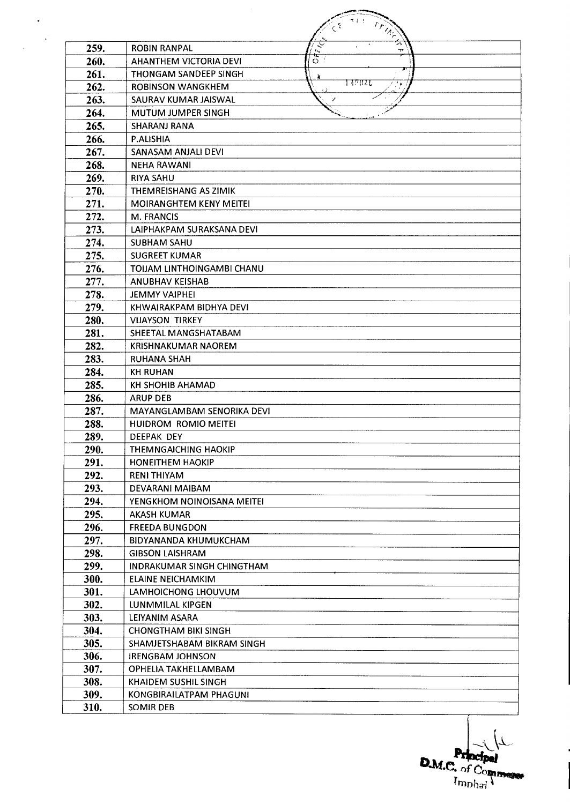|      | エトリ                                             |
|------|-------------------------------------------------|
|      | <b>CEMMA</b>                                    |
| 259. | ্<br><b>ROBIN RANPAL</b><br>T<br>$\ell_{\rm A}$ |
| 260. | े<br>०<br><b>AHANTHEM VICTORIA DEVI</b>         |
| 261. | F<br>THONGAM SANDEEP SINGH<br>À.                |
| 262. | LAPRAL<br><b>ROBINSON WANGKHEM</b>              |
| 263. | SAURAV KUMAR JAISWAL<br>v                       |
| 264. | <b>MUTUM JUMPER SINGH</b>                       |
| 265. | <b>SHARANJ RANA</b>                             |
| 266. | P.ALISHIA                                       |
| 267. | SANASAM ANJALI DEVI                             |
| 268. | <b>NEHA RAWANI</b>                              |
| 269. | <b>RIYA SAHU</b>                                |
| 270. | THEMREISHANG AS ZIMIK                           |
| 271. | <b>MOIRANGHTEM KENY MEITEI</b>                  |
| 272. | <b>M. FRANCIS</b>                               |
| 273. | LAIPHAKPAM SURAKSANA DEVI                       |
| 274. | <b>SUBHAM SAHU</b>                              |
| 275. | <b>SUGREET KUMAR</b>                            |
| 276. | TOIJAM LINTHOINGAMBI CHANU                      |
| 277. | <b>ANUBHAV KEISHAB</b>                          |
| 278. | <b>JEMMY VAIPHEI</b>                            |
| 279. | KHWAIRAKPAM BIDHYA DEVI                         |
| 280. | <b>VIJAYSON TIRKEY</b>                          |
| 281. | SHEETAL MANGSHATABAM                            |
| 282. | <b>KRISHNAKUMAR NAOREM</b>                      |
| 283. | <b>RUHANA SHAH</b>                              |
| 284. | <b>KH RUHAN</b>                                 |
| 285. | KH SHOHIB AHAMAD                                |
| 286. | <b>ARUP DEB</b>                                 |
| 287. | MAYANGLAMBAM SENORIKA DEVI                      |
| 288. | HUIDROM ROMIO MEITEI                            |
| 289. | DEEPAK DEY                                      |
| 290. | THEMNGAICHING HAOKIP                            |
| 291. | <b>HONEITHEM HAOKIP</b>                         |
| 292. | RENI THIYAM                                     |
| 293. | DEVARANI MAIBAM                                 |
| 294. | YENGKHOM NOINOISANA MEITEI                      |
| 295. | <b>AKASH KUMAR</b>                              |
| 296. | <b>FREEDA BUNGDON</b>                           |
| 297. | BIDYANANDA KHUMUKCHAM                           |
| 298. | <b>GIBSON LAISHRAM</b>                          |
| 299. | INDRAKUMAR SINGH CHINGTHAM                      |
| 300. | ELAINE NEICHAMKIM                               |
| 301. | LAMHOICHONG LHOUVUM                             |
| 302. | LUNMMILAL KIPGEN                                |
| 303. | LEIYANIM ASARA                                  |
| 304. | <b>CHONGTHAM BIKI SINGH</b>                     |
| 305. | SHAMJETSHABAM BIKRAM SINGH                      |
| 306. | <b>IRENGBAM JOHNSON</b>                         |
| 307. | OPHELIA TAKHELLAMBAM                            |
| 308. | KHAIDEM SUSHIL SINGH                            |
| 309. | KONGBIRAILATPAM PHAGUNI                         |
| 310. | SOMIR DEB                                       |

 $\hat{\mathbf{v}}$ 

**D.M.C.** of Comment  $\tilde{\mathbf{X}}$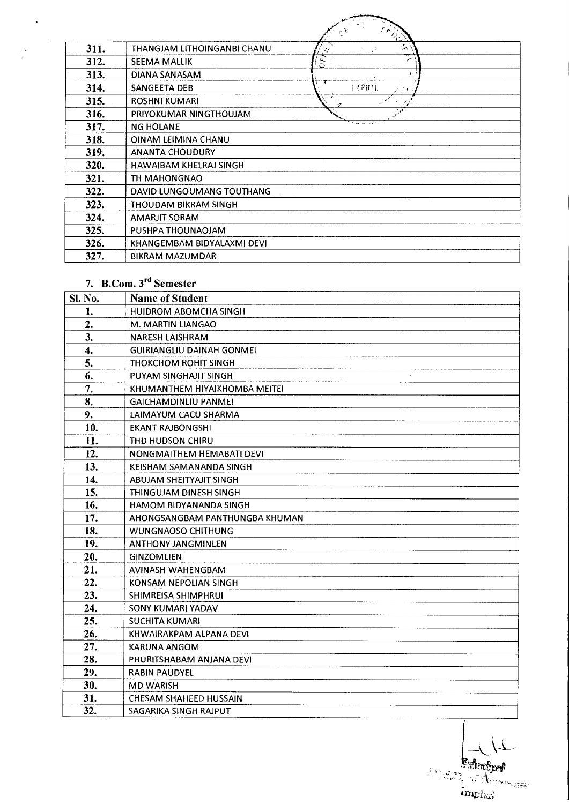|      |                               | $\overline{\mathbb{Z}}$ :<br><b>MARS</b><br>$\epsilon^{\chi}$ |
|------|-------------------------------|---------------------------------------------------------------|
| 311. | THANGJAM LITHOINGANBI CHANU   | ム                                                             |
| 312. | <b>SEEMA MALLIK</b>           | $\frac{\mu}{\Omega}$<br>س                                     |
| 313. | DIANA SANASAM                 | $\mathbf{r}$                                                  |
| 314. | SANGEETA DEB                  | <b>MPRAL</b>                                                  |
| 315. | <b>ROSHNI KUMARI</b>          |                                                               |
| 316. | PRIYOKUMAR NINGTHOUJAM        |                                                               |
| 317. | <b>NG HOLANE</b>              |                                                               |
| 318. | OINAM LEIMINA CHANU           |                                                               |
| 319. | <b>ANANTA CHOUDURY</b>        |                                                               |
| 320. | <b>HAWAIBAM KHELRAJ SINGH</b> |                                                               |
| 321. | TH.MAHONGNAO                  |                                                               |
| 322. | DAVID LUNGOUMANG TOUTHANG     |                                                               |
| 323. | THOUDAM BIKRAM SINGH          |                                                               |
| 324. | AMARJIT SORAM                 |                                                               |
| 325. | PUSHPA THOUNAOJAM             |                                                               |
| 326. | KHANGEMBAM BIDYALAXMI DEVI    |                                                               |
| 327. | <b>BIKRAM MAZUMDAR</b>        |                                                               |

والمستستقيلين

## 7. B.Com. 3<sup>rd</sup> Semester

 $\mathcal{N}^{\pm}$ 

| Sl. No. | <b>Name of Student</b>           |
|---------|----------------------------------|
| 1.      | <b>HUIDROM ABOMCHA SINGH</b>     |
| 2.      | M. MARTIN LIANGAO                |
| 3.      | <b>NARESH LAISHRAM</b>           |
| 4.      | <b>GUIRIANGLIU DAINAH GONMEI</b> |
| 5.      | <b>THOKCHOM ROHIT SINGH</b>      |
| 6.      | PUYAM SINGHAJIT SINGH            |
| 7.      | KHUMANTHEM HIYAIKHOMBA MEITEI    |
| 8.      | <b>GAICHAMDINLIU PANMEI</b>      |
| 9.      | LAIMAYUM CACU SHARMA             |
| 10.     | <b>EKANT RAJBONGSHI</b>          |
| 11.     | THD HUDSON CHIRU                 |
| 12.     | NONGMAITHEM HEMABATI DEVI        |
| 13.     | KEISHAM SAMANANDA SINGH          |
| 14.     | <b>ABUJAM SHEITYAJIT SINGH</b>   |
| 15.     | THINGUJAM DINESH SINGH           |
| 16.     | HAMOM BIDYANANDA SINGH           |
| 17.     | AHONGSANGBAM PANTHUNGBA KHUMAN   |
| 18.     | <b>WUNGNAOSO CHITHUNG</b>        |
| 19.     | <b>ANTHONY JANGMINLEN</b>        |
| 20.     | <b>GINZOMLIEN</b>                |
| 21.     | <b>AVINASH WAHENGBAM</b>         |
| 22.     | KONSAM NEPOLIAN SINGH            |
| 23.     | SHIMREISA SHIMPHRUI              |
| 24.     | SONY KUMARI YADAV                |
| 25.     | <b>SUCHITA KUMARI</b>            |
| 26.     | KHWAIRAKPAM ALPANA DEVI          |
| 27.     | <b>KARUNA ANGOM</b>              |
| 28.     | PHURITSHABAM ANJANA DEVI         |
| 29.     | <b>RABIN PAUDYEL</b>             |
| 30.     | <b>MD WARISH</b>                 |
| 31.     | <b>CHESAM SHAHEED HUSSAIN</b>    |
| 32.     | SAGARIKA SINGH RAJPUT            |

Edmond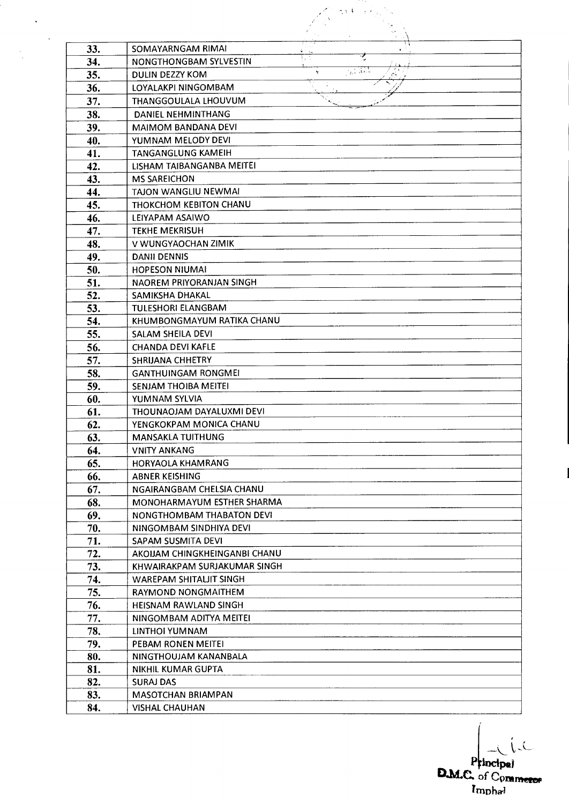|            | ሲ ነ- እ                                                                        |  |
|------------|-------------------------------------------------------------------------------|--|
|            |                                                                               |  |
|            |                                                                               |  |
| 33.        | SOMAYARNGAM RIMAI                                                             |  |
| 34.        | Ξ.<br>NONGTHONGBAM SYLVESTIN                                                  |  |
| 35.        | $\frac{1}{2}$ , $\frac{1}{2}$ , $\frac{1}{2}$<br>ł.<br><b>DULIN DEZZY KOM</b> |  |
| 36.        | LOYALAKPI NINGOMBAM                                                           |  |
| 37.        | THANGGOULALA LHOUVUM                                                          |  |
| 38.        | DANIEL NEHMINTHANG                                                            |  |
| 39.        | <b>MAIMOM BANDANA DEVI</b>                                                    |  |
| 40.        | YUMNAM MELODY DEVI                                                            |  |
| 41.        | <b>TANGANGLUNG KAMEIH</b>                                                     |  |
| 42.        | LISHAM TAIBANGANBA MEITEI                                                     |  |
| 43.        | <b>MS SAREICHON</b>                                                           |  |
| 44.        | <b>TAJON WANGLIU NEWMAI</b>                                                   |  |
| 45.        | THOKCHOM KEBITON CHANU                                                        |  |
| 46.        | LEIYAPAM ASAIWO                                                               |  |
| 47.        | <b>TEKHE MEKRISUH</b>                                                         |  |
| 48.        | V WUNGYAOCHAN ZIMIK                                                           |  |
|            | <b>DANII DENNIS</b>                                                           |  |
| 49.        |                                                                               |  |
| 50.        | <b>HOPESON NIUMAI</b>                                                         |  |
| 51.<br>52. | NAOREM PRIYORANJAN SINGH<br><b>SAMIKSHA DHAKAL</b>                            |  |
|            | <b>TULESHORI ELANGBAM</b>                                                     |  |
| 53.        | KHUMBONGMAYUM RATIKA CHANU                                                    |  |
| 54.        |                                                                               |  |
| 55.        | SALAM SHEILA DEVI                                                             |  |
| 56.        | <b>CHANDA DEVI KAFLE</b>                                                      |  |
| 57.        | SHRIJANA CHHETRY                                                              |  |
| 58.        | <b>GANTHUINGAM RONGMEI</b>                                                    |  |
| 59.        | <b>SENJAM THOIBA MEITEI</b>                                                   |  |
| 60.        | YUMNAM SYLVIA                                                                 |  |
| 61.        | THOUNAOJAM DAYALUXMI DEVI                                                     |  |
| 62.        | YENGKOKPAM MONICA CHANU                                                       |  |
| 63.        | MANSAKLA TUITHUNG                                                             |  |
| 64.        | <b>VNITY ANKANG</b>                                                           |  |
| 65.        | <b>HORYAOLA KHAMRANG</b>                                                      |  |
| 66.        | <b>ABNER KEISHING</b>                                                         |  |
| 67.        | NGAIRANGBAM CHELSIA CHANU                                                     |  |
| 68.        | MONOHARMAYUM ESTHER SHARMA                                                    |  |
| 69.        | NONGTHOMBAM THABATON DEVI                                                     |  |
| 70.        | NINGOMBAM SINDHIYA DEVI                                                       |  |
| 71.        | SAPAM SUSMITA DEVI                                                            |  |
| 72.        | AKOUAM CHINGKHEINGANBI CHANU                                                  |  |
| 73.        | KHWAIRAKPAM SURJAKUMAR SINGH                                                  |  |
| 74.        | WAREPAM SHITALIT SINGH                                                        |  |
| 75.        | RAYMOND NONGMAITHEM                                                           |  |
| 76.        | <b>HEISNAM RAWLAND SINGH</b>                                                  |  |
| 77.        | NINGOMBAM ADITYA MEITEI                                                       |  |
| 78.        | LINTHOI YUMNAM                                                                |  |
| 79.        | <b>PEBAM RONEN MEITEI</b>                                                     |  |
| 80.        | NINGTHOUJAM KANANBALA                                                         |  |
| 81.        | <b>NIKHIL KUMAR GUPTA</b>                                                     |  |
| 82.        | <b>SURAJ DAS</b>                                                              |  |
| 83.        | <b>MASOTCHAN BRIAMPAN</b>                                                     |  |
| 84.        | <b>VISHAL CHAUHAN</b>                                                         |  |

 $\ddot{\phantom{0}}$ 

 $\mathcal{A}^{\mathcal{A}}$ 

Principal **-(- D.14..C. of Com**et **Impha4**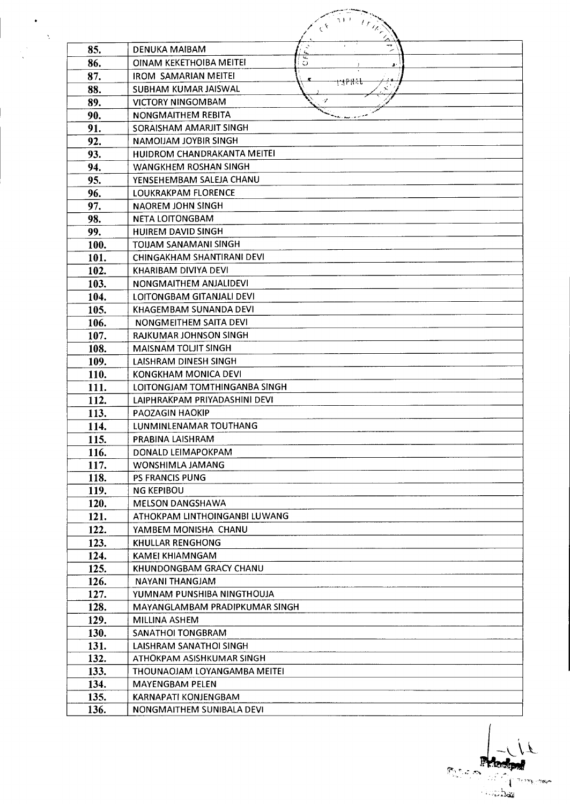| A. |                     | ユトリ<br>$\frac{1}{\sqrt{2}}$<br>$\epsilon^{\chi}$          |
|----|---------------------|-----------------------------------------------------------|
|    | 85.                 | 4<br><b>DENUKA MAIBAM</b>                                 |
|    | 86.                 | E<br>OINAM KEKETHOIBA MEITEI<br>O<br>J.                   |
|    | 87.                 | <b>IROM SAMARIAN MEITEI</b>                               |
|    | 88.                 | <del>13188.</del><br>$\mathbf{r}$<br>SUBHAM KUMAR JAISWAL |
|    | 89.                 | -7<br><b>VICTORY NINGOMBAM</b>                            |
|    | 90.                 | NONGMAITHEM REBITA                                        |
|    | 91.                 | SORAISHAM AMARJIT SINGH                                   |
|    | 92.                 | NAMOIJAM JOYBIR SINGH                                     |
|    | 93.                 | HUIDROM CHANDRAKANTA MEITEI                               |
|    | 94.                 | WANGKHEM ROSHAN SINGH                                     |
|    | 95.                 | YENSEHEMBAM SALEJA CHANU                                  |
|    | 96.                 | LOUKRAKPAM FLORENCE                                       |
|    | 97.                 | <b>NAOREM JOHN SINGH</b>                                  |
|    | 98.                 | <b>NETA LOITONGBAM</b>                                    |
|    | 99.                 | <b>HUIREM DAVID SINGH</b>                                 |
|    | 100.                | <b>TOIJAM SANAMANI SINGH</b>                              |
|    | 101.                | CHINGAKHAM SHANTIRANI DEVI                                |
|    | 102.                | KHARIBAM DIVIYA DEVI                                      |
|    | 103.                | NONGMAITHEM ANJALIDEVI                                    |
|    | 104.                | LOITONGBAM GITANJALI DEVI                                 |
|    | 105.                | KHAGEMBAM SUNANDA DEVI                                    |
|    | 106.                | NONGMEITHEM SAITA DEVI                                    |
|    | 107.                | RAJKUMAR JOHNSON SINGH                                    |
|    | 108.                | <b>MAISNAM TOLIIT SINGH</b>                               |
|    | 109.                | <b>LAISHRAM DINESH SINGH</b>                              |
|    | 110.                | KONGKHAM MONICA DEVI                                      |
|    | 111.                | LOITONGIAM TOMTHINGANBA SINGH                             |
|    | 112.                | LAIPHRAKPAM PRIYADASHINI DEVI                             |
|    | 113.                | PAOZAGIN HAOKIP                                           |
|    | 114.                | LUNMINLENAMAR TOUTHANG                                    |
|    | 115.                | PRABINA LAISHRAM                                          |
|    | <b>116.</b>         | DONALD LEIMAPOKPAM<br>WONSHIMLA JAMANG                    |
|    | <b>117.</b><br>118. | <b>PS FRANCIS PUNG</b>                                    |
|    | <b>119.</b>         | <b>NG KEPIBOU</b>                                         |
|    | 120.                | <b>MELSON DANGSHAWA</b>                                   |
|    | 121.                | ATHOKPAM LINTHOINGANBI LUWANG                             |
|    | 122.                | YAMBEM MONISHA CHANU                                      |
|    | 123.                | KHULLAR RENGHONG                                          |
|    | 124.                | <b>KAMEI KHIAMNGAM</b>                                    |
|    | 125.                | KHUNDONGBAM GRACY CHANU                                   |
|    | 126.                | NAYANI THANGJAM                                           |
|    | 127.                | YUMNAM PUNSHIBA NINGTHOUJA                                |
|    | 128.                | MAYANGLAMBAM PRADIPKUMAR SINGH                            |
|    | 129.                | <b>MILLINA ASHEM</b>                                      |
|    | 130.                | SANATHOI TONGBRAM                                         |
|    | 131.                | LAISHRAM SANATHOI SINGH                                   |
|    | 132.                | ATHOKPAM ASISHKUMAR SINGH                                 |
|    | 133.                | THOUNAOJAM LOYANGAMBA MEITEI                              |
|    | 134.                | <b>MAYENGBAM PELEN</b>                                    |
|    | 135.                | <b>KARNAPATI KONJENGBAM</b>                               |
|    | 136.                | NONGMAITHEM SUNIBALA DEVI                                 |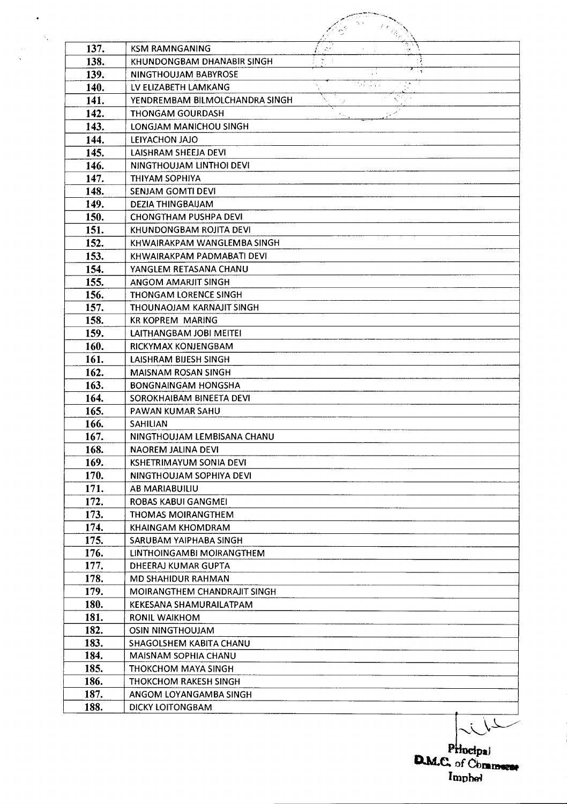| 137. | <b>KSM RAMNGANING</b>          |        |               |  |
|------|--------------------------------|--------|---------------|--|
| 138. | KHUNDONGBAM DHANABIR SINGH     |        |               |  |
| 139. | NINGTHOUJAM BABYROSE           |        | $\sim$ $\eta$ |  |
| 140. | LV ELIZABETH LAMKANG           | ta NGC |               |  |
| 141. | YENDREMBAM BILMOLCHANDRA SINGH |        |               |  |
| 142. | THONGAM GOURDASH               |        |               |  |
| 143. | LONGJAM MANICHOU SINGH         |        |               |  |
| 144. | LEIYACHON JAJO                 |        |               |  |
| 145. | LAISHRAM SHEEJA DEVI           |        |               |  |
| 146. | NINGTHOUJAM LINTHOI DEVI       |        |               |  |
| 147. | THIYAM SOPHIYA                 |        |               |  |
| 148. | <b>SENJAM GOMTI DEVI</b>       |        |               |  |
| 149. | DEZIA THINGBAIJAM              |        |               |  |
| 150. | <b>CHONGTHAM PUSHPA DEVI</b>   |        |               |  |
| 151. | KHUNDONGBAM ROJITA DEVI        |        |               |  |
| 152. | KHWAIRAKPAM WANGLEMBA SINGH    |        |               |  |
| 153. | KHWAIRAKPAM PADMABATI DEVI     |        |               |  |
| 154. | YANGLEM RETASANA CHANU         |        |               |  |
| 155. | ANGOM AMARJIT SINGH            |        |               |  |
| 156. | <b>THONGAM LORENCE SINGH</b>   |        |               |  |
| 157. | THOUNAOJAM KARNAJIT SINGH      |        |               |  |
| 158. | <b>KR KOPREM MARING</b>        |        |               |  |
| 159. | LAITHANGBAM JOBI MEITEI        |        |               |  |
| 160. | RICKYMAX KONJENGBAM            |        |               |  |
| 161. | LAISHRAM BIJESH SINGH          |        |               |  |
| 162. | <b>MAISNAM ROSAN SINGH</b>     |        |               |  |
| 163. | <b>BONGNAINGAM HONGSHA</b>     |        |               |  |
| 164. | SOROKHAIBAM BINEETA DEVI       |        |               |  |
| 165. | PAWAN KUMAR SAHU               |        |               |  |
| 166. | <b>SAHILIAN</b>                |        |               |  |
| 167. | NINGTHOUJAM LEMBISANA CHANU    |        |               |  |
| 168. | NAOREM JALINA DEVI             |        |               |  |
| 169. | KSHETRIMAYUM SONIA DEVI        |        |               |  |
| 170. | NINGTHOUJAM SOPHIYA DEVI       |        |               |  |
| 171. | AB MARIABUILIU                 |        |               |  |
| 172. | ROBAS KABUI GANGMEI            |        |               |  |
| 173. | THOMAS MOIRANGTHEM             |        |               |  |
| 174. | <b>KHAINGAM KHOMDRAM</b>       |        |               |  |
| 175. | SARUBAM YAIPHABA SINGH         |        |               |  |
| 176. | LINTHOINGAMBI MOIRANGTHEM      |        |               |  |
| 177. | DHEERAJ KUMAR GUPTA            |        |               |  |
| 178. | <b>MD SHAHIDUR RAHMAN</b>      |        |               |  |
| 179. | MOIRANGTHEM CHANDRAJIT SINGH   |        |               |  |
| 180. | KEKESANA SHAMURAILATPAM        |        |               |  |
| 181. | <b>RONIL WAIKHOM</b>           |        |               |  |
| 182. | <b>OSIN NINGTHOUJAM</b>        |        |               |  |
| 183. | SHAGOLSHEM KABITA CHANU        |        |               |  |
| 184. | MAISNAM SOPHIA CHANU           |        |               |  |
| 185. | <b>THOKCHOM MAYA SINGH</b>     |        |               |  |
| 186. | THOKCHOM RAKESH SINGH          |        |               |  |
| 187. | ANGOM LOYANGAMBA SINGH         |        |               |  |
| 188. | <b>DICKY LOITONGBAM</b>        |        |               |  |

 $\hat{\mathbf{r}}$ 

 $\sim \lambda_{\rm c}$ 

 $\hat{\mathcal{A}}$  :  $\ddot{\phantom{a}}$ 

**P D.M.C.** of Cbransces  $lmphel$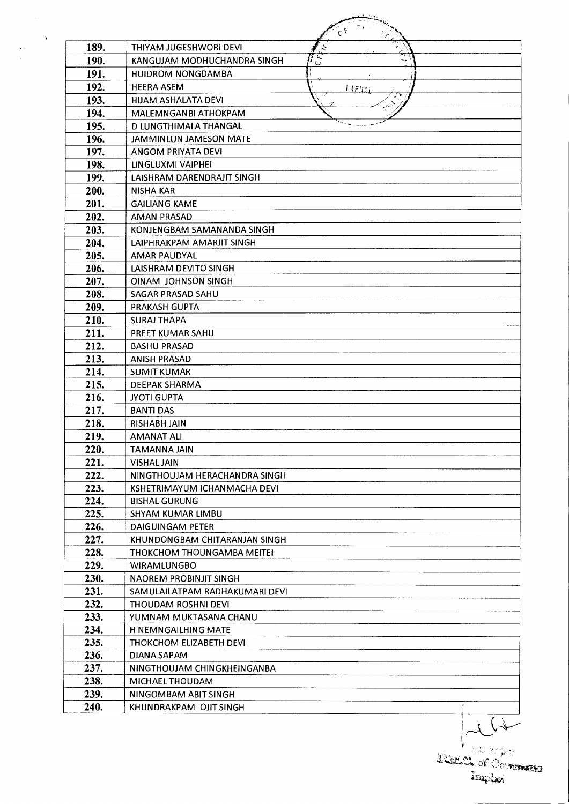|              | $C^{\mathfrak{F}}$                            |
|--------------|-----------------------------------------------|
| 189.         | <b>THIYAM JUGESHWORI DEVI</b><br>ぐ            |
| 190.         | $\overline{C}$<br>KANGUJAM MODHUCHANDRA SINGH |
| 191.         | <b>HUIDROM NONGDAMBA</b>                      |
| 192.         | <b>HEERA ASEM</b>                             |
| 193.         | TAPRAI<br>HIJAM ASHALATA DEVI                 |
|              | MALEMNGANBI ATHOKPAM                          |
| 194.         | <b>DIUNGTHIMALA THANGAL</b>                   |
| 195.<br>196. |                                               |
| 197.         | <b>JAMMINLUN JAMESON MATE</b>                 |
|              | ANGOM PRIYATA DEVI                            |
| 198.         | LINGLUXMI VAIPHEI                             |
| 199.         | LAISHRAM DARENDRAJIT SINGH                    |
| 200.         | <b>NISHA KAR</b>                              |
| 201.         | <b>GAILIANG KAME</b>                          |
| 202.         | <b>AMAN PRASAD</b>                            |
| 203.         | KONJENGBAM SAMANANDA SINGH                    |
| 204.         | LAIPHRAKPAM AMARJIT SINGH                     |
| 205.         | AMAR PAUDYAL                                  |
| 206.         | LAISHRAM DEVITO SINGH                         |
| 207.         | <b>OINAM JOHNSON SINGH</b>                    |
| 208.         | SAGAR PRASAD SAHU                             |
| 209.         | PRAKASH GUPTA                                 |
| 210.         | <b>SURAJ THAPA</b>                            |
| 211.         | PREET KUMAR SAHU                              |
| 212.         | <b>BASHU PRASAD</b>                           |
| 213.         | <b>ANISH PRASAD</b>                           |
| 214.         | <b>SUMIT KUMAR</b>                            |
| 215.         | DEEPAK SHARMA                                 |
| 216.         | <b>JYOTI GUPTA</b>                            |
| 217.         | <b>BANTI DAS</b>                              |
| 218.         | <b>RISHABH JAIN</b>                           |
| 219.         | <b>AMANAT ALI</b>                             |
| 220.         | TAMANNA JAIN                                  |
| 221.         | <b>VISHAL JAIN</b>                            |
| 222.         | NINGTHOUJAM HERACHANDRA SINGH                 |
| 223.         | KSHETRIMAYUM ICHANMACHA DEVI                  |
| 224.         | <b>BISHAL GURUNG</b>                          |
| 225.         | SHYAM KUMAR LIMBU                             |
| 226.         | DAIGUINGAM PETER                              |
| 227.         | KHUNDONGBAM CHITARANJAN SINGH                 |
| 228.         | THOKCHOM THOUNGAMBA MEITEI                    |
| 229.         | <b>WIRAMLUNGBO</b>                            |
| 230.         | <b>NAOREM PROBINJIT SINGH</b>                 |
| 231.         | SAMULAILATPAM RADHAKUMARI DEVI                |
| 232.         | THOUDAM ROSHNI DEVI                           |
| 233.         | YUMNAM MUKTASANA CHANU                        |
| 234.         | <b>H NEMNGAILHING MATE</b>                    |
| 235.         | THOKCHOM ELIZABETH DEVI                       |
| 236.         | DIANA SAPAM                                   |
| 237.         | NINGTHOUJAM CHINGKHEINGANBA                   |
| 238.         | MICHAEL THOUDAM                               |
| 239.         | NINGOMBAM ABIT SINGH                          |
| 240.         | KHUNDRAKPAM OJIT SINGH                        |

 $\label{eq:2} \frac{1}{\sqrt{2\pi}}\sum_{i=1}^N\frac{1}{\sqrt{2\pi}}\sum_{i=1}^N\frac{1}{\sqrt{2\pi}}\sum_{i=1}^N\frac{1}{\sqrt{2\pi}}\sum_{i=1}^N\frac{1}{\sqrt{2\pi}}\sum_{i=1}^N\frac{1}{\sqrt{2\pi}}\sum_{i=1}^N\frac{1}{\sqrt{2\pi}}\sum_{i=1}^N\frac{1}{\sqrt{2\pi}}\sum_{i=1}^N\frac{1}{\sqrt{2\pi}}\sum_{i=1}^N\frac{1}{\sqrt{2\pi}}\sum_{i=1}^N\frac{$  $\frac{1}{2}$ 

ELECT OF COMMENTS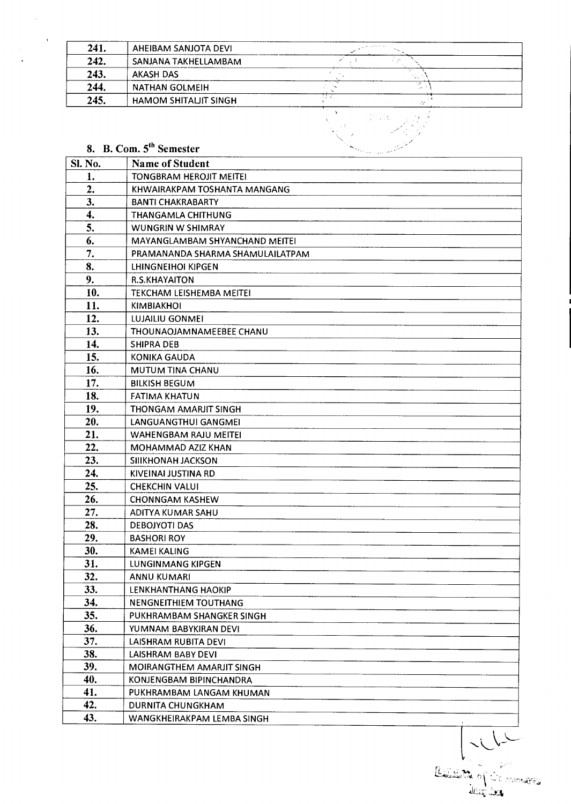| 241. | AHEIBAM SANJOTA DEVI        | <b>Service Control</b> |    |  |
|------|-----------------------------|------------------------|----|--|
| 242. | SANJANA TAKHELLAMBAM        |                        |    |  |
| 243. | AKASH DAS                   |                        |    |  |
| 244. | NATHAN GOLMEIH              |                        | ×, |  |
| 245. | <b>HAMOM SHITALIT SINGH</b> |                        |    |  |
|      |                             |                        |    |  |

## 8. B. Com. 5<sup>th</sup> Semester

 $\sim$ 

 $\sim$ 

| <b>SI. No.</b> | <b>Name of Student</b>           |
|----------------|----------------------------------|
| 1.             | <b>TONGBRAM HEROJIT MEITEI</b>   |
| 2.             | KHWAIRAKPAM TOSHANTA MANGANG     |
| 3.             | <b>BANTI CHAKRABARTY</b>         |
| 4.             | <b>THANGAMLA CHITHUNG</b>        |
| 5.             | <b>WUNGRIN W SHIMRAY</b>         |
| 6.             | MAYANGLAMBAM SHYANCHAND MEITEI   |
| 7.             | PRAMANANDA SHARMA SHAMULAILATPAM |
| 8.             | LHINGNEIHOI KIPGEN               |
| 9.             | <b>R.S.KHAYAITON</b>             |
| 10.            | <b>TEKCHAM LEISHEMBA MEITEI</b>  |
| 11.            | <b>KIMBIAKHOI</b>                |
| 12.            | LUJAILIU GONMEI                  |
| 13.            | THOUNAOJAMNAMEEBEE CHANU         |
| 14.            | <b>SHIPRA DEB</b>                |
| 15.            | <b>KONIKA GAUDA</b>              |
| 16.            | MUTUM TINA CHANU                 |
| 17.            | <b>BILKISH BEGUM</b>             |
| 18.            | <b>FATIMA KHATUN</b>             |
| 19.            | THONGAM AMARJIT SINGH            |
| 20.            | LANGUANGTHUI GANGMEI             |
| 21.            | <b>WAHENGBAM RAJU MEITEI</b>     |
| 22.            | MOHAMMAD AZIZ KHAN               |
| 23.            | SIIIKHONAH JACKSON               |
| 24.            | KIVEINAI JUSTINA RD              |
| 25.            | <b>CHEKCHIN VALUI</b>            |
| 26.            | <b>CHONNGAM KASHEW</b>           |
| 27.            | ADITYA KUMAR SAHU                |
| 28.            | <b>DEBOJYOTI DAS</b>             |
| 29.            | <b>BASHORI ROY</b>               |
| 30.            | <b>KAMEI KALING</b>              |
| 31.            | LUNGINMANG KIPGEN                |
| 32.            | <b>ANNU KUMARI</b>               |
| 33.            | LENKHANTHANG HAOKIP              |
| 34.            | NENGNEITHIEM TOUTHANG            |
| 35.            | PUKHRAMBAM SHANGKER SINGH        |
| 36.            | YUMNAM BABYKIRAN DEVI            |
| 37.            | LAISHRAM RUBITA DEVI             |
| 38.            | LAISHRAM BABY DEVI               |
| 39.            | MOIRANGTHEM AMARJIT SINGH        |
| 40.            | KONJENGBAM BIPINCHANDRA          |
| 41.            | PUKHRAMBAM LANGAM KHUMAN         |
| 42.            | <b>DURNITA CHUNGKHAM</b>         |
| 43.            | WANGKHEIRAKPAM LEMBA SINGH       |

Restaurant de la Communisment de la Communisment de la Communisment de la Communisment de la Communisment de l<br>Le Communisment de la Communisment de la Communisment de la Communisment de la Communisment de la Communisment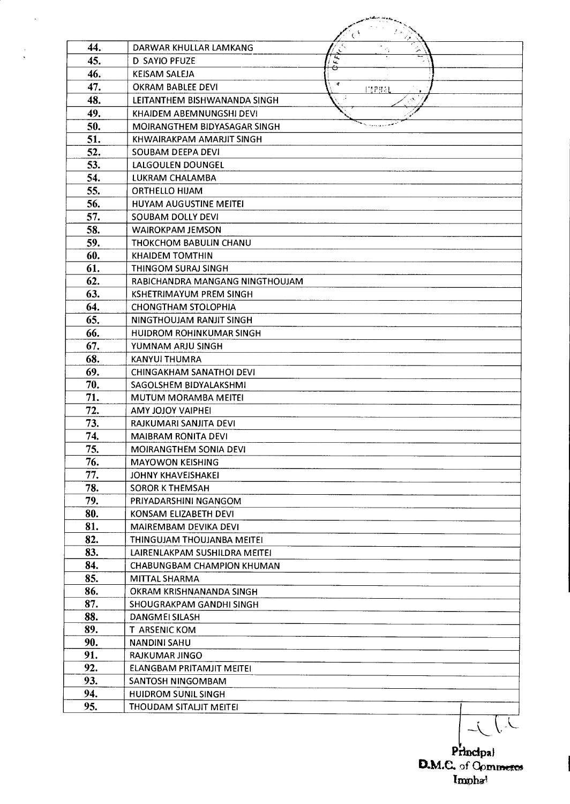| 44.        | DARWAR KHULLAR LAMKANG                           | $\mathbf{r}$ |
|------------|--------------------------------------------------|--------------|
| 45.        | D SAYIO PFUZE                                    | ⊖            |
| 46.        | <b>KEISAM SALEJA</b>                             | 中            |
| 47.        | <b>OKRAM BABLEE DEVI</b>                         | napyar       |
| 48.        | LEITANTHEM BISHWANANDA SINGH                     |              |
| 49.        | KHAIDEM ABEMNUNGSHI DEVI                         |              |
| 50.        | MOIRANGTHEM BIDYASAGAR SINGH                     |              |
| 51.        | KHWAIRAKPAM AMARJIT SINGH                        |              |
| 52.        | SOUBAM DEEPA DEVI                                |              |
| 53.        | LALGOULEN DOUNGEL                                |              |
| 54.        | LUKRAM CHALAMBA                                  |              |
| 55.        | <b>ORTHELLO HIJAM</b>                            |              |
| 56.        | <b>HUYAM AUGUSTINE MEITEI</b>                    |              |
| 57.        | SOUBAM DOLLY DEVI                                |              |
| 58.        | <b>WAIROKPAM JEMSON</b>                          |              |
| 59.        | THOKCHOM BABULIN CHANU                           |              |
| 60.        | <b>KHAIDEM TOMTHIN</b>                           |              |
| 61.        | THINGOM SURAJ SINGH                              |              |
| 62.        | RABICHANDRA MANGANG NINGTHOUJAM                  |              |
| 63.        | KSHETRIMAYUM PREM SINGH                          |              |
| 64.        | <b>CHONGTHAM STOLOPHIA</b>                       |              |
| 65.        | NINGTHOUJAM RANJIT SINGH                         |              |
| 66.        | <b>HUIDROM ROHINKUMAR SINGH</b>                  |              |
| 67.        | YUMNAM ARJU SINGH                                |              |
| 68.        | KANYUI THUMRA                                    |              |
| 69.        | CHINGAKHAM SANATHOI DEVI                         |              |
| 70.<br>71. | SAGOLSHEM BIDYALAKSHMI                           |              |
| 72.        | MUTUM MORAMBA MEITEI<br><b>AMY JOJOY VAIPHEI</b> |              |
| 73.        | RAJKUMARI SANJITA DEVI                           |              |
| 74.        | <b>MAIBRAM RONITA DEVI</b>                       |              |
| 75.        | MOIRANGTHEM SONIA DEVI                           |              |
| 76.        | <b>MAYOWON KEISHING</b>                          |              |
| 77.        | JOHNY KHAVEISHAKEI                               |              |
| 78.        | <b>SOROR K THEMSAH</b>                           |              |
| 79.        | PRIYADARSHINI NGANGOM                            |              |
| 80.        | KONSAM ELIZABETH DEVI                            |              |
| 81.        | MAIREMBAM DEVIKA DEVI                            |              |
| 82.        | THINGUJAM THOUJANBA MEITEI                       |              |
| 83.        | LAIRENLAKPAM SUSHILDRA MEITEI                    |              |
| 84.        | <b>CHABUNGBAM CHAMPION KHUMAN</b>                |              |
| 85.        | <b>MITTAL SHARMA</b>                             |              |
| 86.        | OKRAM KRISHNANANDA SINGH                         |              |
| 87.        | SHOUGRAKPAM GANDHI SINGH                         |              |
| 88.        | DANGMEI SILASH                                   |              |
| 89.        | T ARSENIC KOM                                    |              |
| 90.        | <b>NANDINI SAHU</b>                              |              |
| 91.        | RAJKUMAR JINGO                                   |              |
| 92.        | ELANGBAM PRITAMJIT MEITEI                        |              |
| 93.        | SANTOSH NINGOMBAM                                |              |
| 94.        | <b>HUIDROM SUNIL SINGH</b>                       |              |
| 95.        | THOUDAM SITALIT MEITEI                           |              |
|            |                                                  |              |

 $\sim$ 

 $\bar{.}$ 

Principal<br>D.M.C. of Commerce Impha!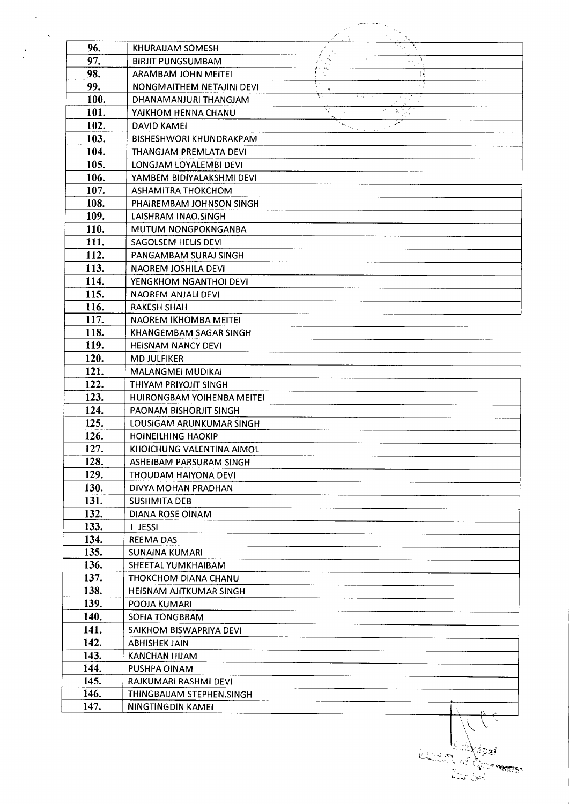| 96.  | <b>KHURAIJAM SOMESH</b>        |   |      |
|------|--------------------------------|---|------|
| 97.  | <b>BIRJIT PUNGSUMBAM</b>       | Ń |      |
| 98.  | ARAMBAM JOHN MEITEI            |   |      |
| 99.  | NONGMAITHEM NETAJINI DEVI      |   |      |
| 100. | DHANAMANJURI THANGJAM          | × | まえいし |
| 101. | YAIKHOM HENNA CHANU            |   |      |
| 102. | <b>DAVID KAMEI</b>             |   |      |
| 103. | <b>BISHESHWORI KHUNDRAKPAM</b> |   |      |
| 104. | THANGJAM PREMLATA DEVI         |   |      |
| 105. | LONGJAM LOYALEMBI DEVI         |   |      |
| 106. | YAMBEM BIDIYALAKSHMI DEVI      |   |      |
| 107. | ASHAMITRA THOKCHOM             |   |      |
| 108. | PHAIREMBAM JOHNSON SINGH       |   |      |
| 109. |                                |   |      |
|      | LAISHRAM INAO.SINGH            |   |      |
| 110. | <b>MUTUM NONGPOKNGANBA</b>     |   |      |
| 111. | SAGOLSEM HELIS DEVI            |   |      |
| 112. | PANGAMBAM SURAJ SINGH          |   |      |
| 113. | NAOREM JOSHILA DEVI            |   |      |
| 114. | YENGKHOM NGANTHOI DEVI         |   |      |
| 115. | NAOREM ANJALI DEVI             |   |      |
| 116. | <b>RAKESH SHAH</b>             |   |      |
| 117. | NAOREM IKHOMBA MEITEI          |   |      |
| 118. | KHANGEMBAM SAGAR SINGH         |   |      |
| 119. | <b>HEISNAM NANCY DEVI</b>      |   |      |
| 120. | <b>MD JULFIKER</b>             |   |      |
| 121. | <b>MALANGMEI MUDIKAI</b>       |   |      |
| 122. | THIYAM PRIYOJIT SINGH          |   |      |
| 123. | HUIRONGBAM YOIHENBA MEITEI     |   |      |
| 124. | PAONAM BISHORJIT SINGH         |   |      |
| 125. | LOUSIGAM ARUNKUMAR SINGH       |   |      |
| 126. | <b>HOINEILHING HAOKIP</b>      |   |      |
| 127. | KHOICHUNG VALENTINA AIMOL      |   |      |
| 128. | ASHEIBAM PARSURAM SINGH        |   |      |
| 129. | THOUDAM HAIYONA DEVI           |   |      |
| 130. | DIVYA MOHAN PRADHAN            |   |      |
| 131. | <b>SUSHMITA DEB</b>            |   |      |
| 132. | <b>DIANA ROSE OINAM</b>        |   |      |
| 133. | <b>T JESSI</b>                 |   |      |
| 134. | <b>REEMA DAS</b>               |   |      |
| 135. | <b>SUNAINA KUMARI</b>          |   |      |
| 136. | SHEETAL YUMKHAIBAM             |   |      |
| 137. | THOKCHOM DIANA CHANU           |   |      |
| 138. | <b>HEISNAM AJITKUMAR SINGH</b> |   |      |
| 139. | POOJA KUMARI                   |   |      |
| 140. | SOFIA TONGBRAM                 |   |      |
| 141. | SAIKHOM BISWAPRIYA DEVI        |   |      |
| 142. | <b>ABHISHEK JAIN</b>           |   |      |
| 143. | <b>KANCHAN HIJAM</b>           |   |      |
| 144. | PUSHPA OINAM                   |   |      |
| 145. | RAJKUMARI RASHMI DEVI          |   |      |
|      |                                |   |      |

**Community**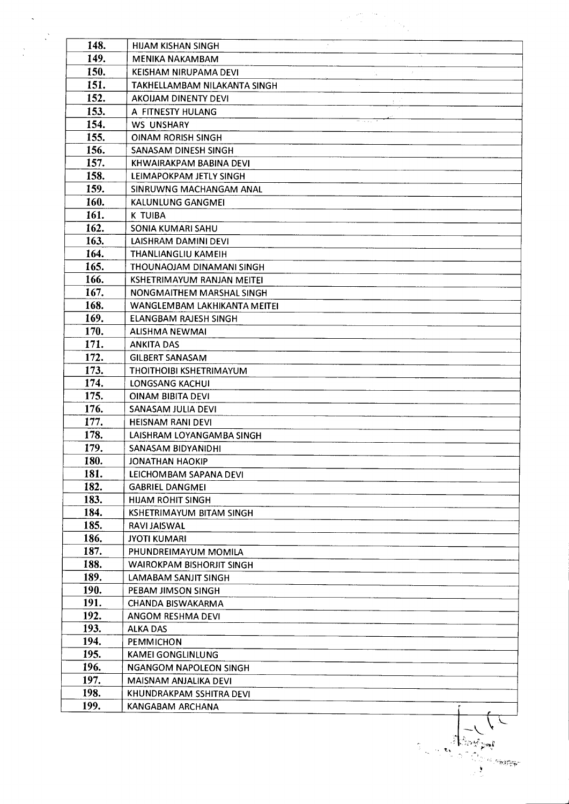| 148. | <b>HUAM KISHAN SINGH</b>         |
|------|----------------------------------|
| 149. | <b>MENIKA NAKAMBAM</b>           |
| 150. | KEISHAM NIRUPAMA DEVI            |
| 151. | TAKHELLAMBAM NILAKANTA SINGH     |
| 152. | AKOIJAM DINENTY DEVI             |
| 153. | A FITNESTY HULANG                |
| 154. | <b>WS UNSHARY</b>                |
| 155. | <b>OINAM RORISH SINGH</b>        |
| 156. | SANASAM DINESH SINGH             |
| 157. | KHWAIRAKPAM BABINA DEVI          |
| 158. | LEIMAPOKPAM JETLY SINGH          |
| 159. | SINRUWNG MACHANGAM ANAL          |
| 160. | KALUNLUNG GANGMEI                |
| 161. | K TUIBA                          |
| 162. | SONIA KUMARI SAHU                |
| 163. | LAISHRAM DAMINI DEVI             |
| 164. | THANLIANGLIU KAMEIH              |
| 165. | THOUNAOJAM DINAMANI SINGH        |
| 166. | KSHETRIMAYUM RANJAN MEITEI       |
| 167. | NONGMAITHEM MARSHAL SINGH        |
| 168. | WANGLEMBAM LAKHIKANTA MEITEI     |
| 169. | ELANGBAM RAJESH SINGH            |
| 170. | <b>ALISHMA NEWMAI</b>            |
| 171. | <b>ANKITA DAS</b>                |
| 172. | <b>GILBERT SANASAM</b>           |
| 173. | THOITHOIBI KSHETRIMAYUM          |
| 174. | <b>LONGSANG KACHUI</b>           |
| 175. | <b>OINAM BIBITA DEVI</b>         |
| 176. | SANASAM JULIA DEVI               |
| 177. | <b>HEISNAM RANI DEVI</b>         |
| 178. | LAISHRAM LOYANGAMBA SINGH        |
| 179. | SANASAM BIDYANIDHI               |
| 180. | <b>JONATHAN HAOKIP</b>           |
| 181. | LEICHOMBAM SAPANA DEVI           |
| 182. | <b>GABRIEL DANGMEI</b>           |
| 183. | <b>HIJAM ROHIT SINGH</b>         |
| 184. | KSHETRIMAYUM BITAM SINGH         |
| 185. | RAVI JAISWAL                     |
| 186. | <b>JYOTI KUMARI</b>              |
| 187. | PHUNDREIMAYUM MOMILA             |
| 188. | <b>WAIROKPAM BISHORJIT SINGH</b> |
| 189. | LAMABAM SANJIT SINGH             |
| 190. | PEBAM JIMSON SINGH               |
| 191. | CHANDA BISWAKARMA                |
| 192. | ANGOM RESHMA DEVI                |
| 193. | <b>ALKA DAS</b>                  |
| 194. | PEMMICHON                        |
| 195. | <b>KAMEI GONGLINLUNG</b>         |
| 196. | <b>NGANGOM NAPOLEON SINGH</b>    |
| 197. | MAISNAM ANJALIKA DEVI            |
| 198. | KHUNDRAKPAM SSHITRA DEVI         |
| 199. |                                  |
|      | KANGABAM ARCHANA                 |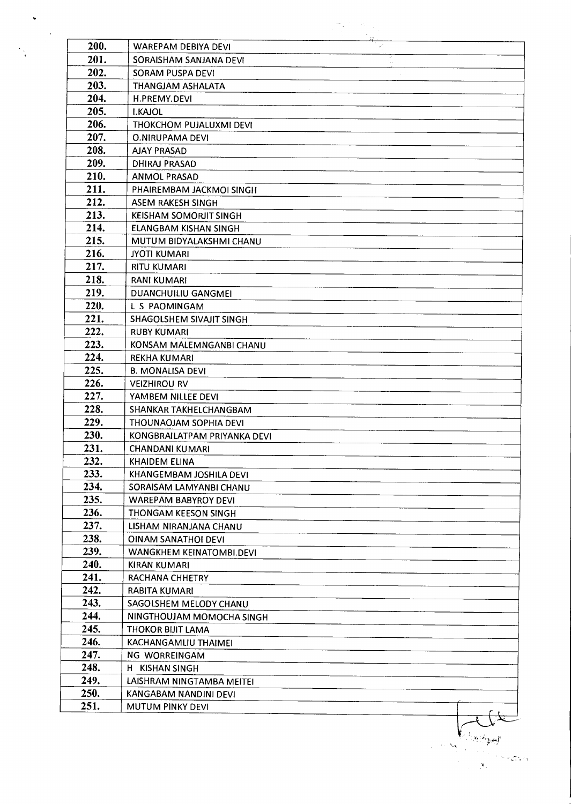| 200. | <b>WAREPAM DEBIYA DEVI</b>    |  |
|------|-------------------------------|--|
| 201. | SORAISHAM SANJANA DEVI        |  |
| 202. | SORAM PUSPA DEVI              |  |
| 203. | THANGJAM ASHALATA             |  |
| 204. | H.PREMY.DEVI                  |  |
| 205. | <b>I.KAJOL</b>                |  |
| 206. | THOKCHOM PUJALUXMI DEVI       |  |
| 207. | <b>O.NIRUPAMA DEVI</b>        |  |
| 208. | <b>AJAY PRASAD</b>            |  |
| 209. | <b>DHIRAJ PRASAD</b>          |  |
| 210. | <b>ANMOL PRASAD</b>           |  |
| 211. | PHAIREMBAM JACKMOI SINGH      |  |
| 212. | <b>ASEM RAKESH SINGH</b>      |  |
| 213. | <b>KEISHAM SOMORJIT SINGH</b> |  |
| 214. | <b>ELANGBAM KISHAN SINGH</b>  |  |
| 215. | MUTUM BIDYALAKSHMI CHANU      |  |
| 216. | <b>JYOTI KUMARI</b>           |  |
| 217. | <b>RITU KUMARI</b>            |  |
| 218. | <b>RANI KUMARI</b>            |  |
| 219. | <b>DUANCHUILIU GANGMEI</b>    |  |
| 220. |                               |  |
|      | L S PAOMINGAM                 |  |
| 221. | SHAGOLSHEM SIVAJIT SINGH      |  |
| 222. | <b>RUBY KUMARI</b>            |  |
| 223. | KONSAM MALEMNGANBI CHANU      |  |
| 224. | <b>REKHA KUMARI</b>           |  |
| 225. | <b>B. MONALISA DEVI</b>       |  |
| 226. | <b>VEIZHIROU RV</b>           |  |
| 227. | YAMBEM NILLEE DEVI            |  |
| 228. | SHANKAR TAKHELCHANGBAM        |  |
| 229. | THOUNAOJAM SOPHIA DEVI        |  |
| 230. | KONGBRAILATPAM PRIYANKA DEVI  |  |
| 231. | <b>CHANDANI KUMARI</b>        |  |
| 232. | KHAIDEM ELINA                 |  |
| 233. | KHANGEMBAM JOSHILA DEVI       |  |
| 234. | SORAISAM LAMYANBI CHANU       |  |
| 235. | <b>WAREPAM BABYROY DEVI</b>   |  |
| 236. | THONGAM KEESON SINGH          |  |
| 237. | LISHAM NIRANJANA CHANU        |  |
| 238. | OINAM SANATHOI DEVI           |  |
| 239. | WANGKHEM KEINATOMBI.DEVI      |  |
| 240. | KIRAN KUMARI                  |  |
| 241. | RACHANA CHHETRY               |  |
| 242. | RABITA KUMARI                 |  |
| 243. | SAGOLSHEM MELODY CHANU        |  |
| 244. | NINGTHOUJAM MOMOCHA SINGH     |  |
| 245. | THOKOR BIJIT LAMA             |  |
| 246. | KACHANGAMLIU THAIMEI          |  |
| 247. | NG WORREINGAM                 |  |
| 248. | H KISHAN SINGH                |  |
| 249. | LAISHRAM NINGTAMBA MEITEI     |  |
| 250. | KANGABAM NANDINI DEVI         |  |